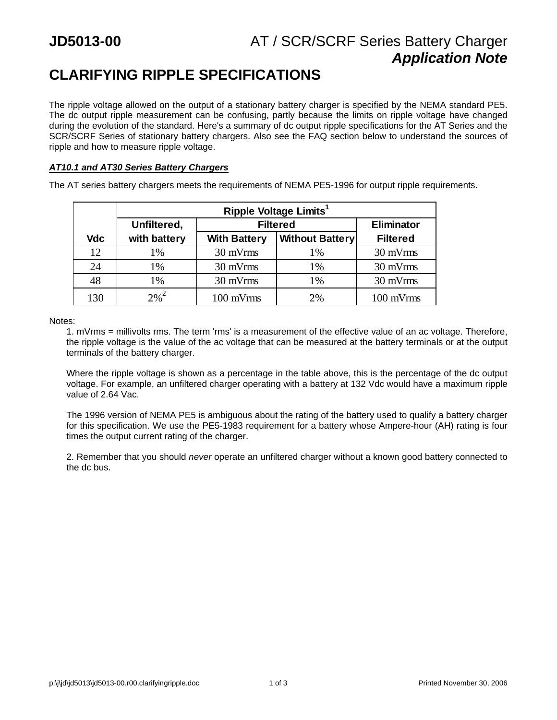## **JD5013-00** AT / SCR/SCRF Series Battery Charger *Application Note*

# **CLARIFYING RIPPLE SPECIFICATIONS**

The ripple voltage allowed on the output of a stationary battery charger is specified by the NEMA standard PE5. The dc output ripple measurement can be confusing, partly because the limits on ripple voltage have changed during the evolution of the standard. Here's a summary of dc output ripple specifications for the AT Series and the SCR/SCRF Series of stationary battery chargers. Also see the FAQ section below to understand the sources of ripple and how to measure ripple voltage.

### *AT10.1 and AT30 Series Battery Chargers*

The AT series battery chargers meets the requirements of NEMA PE5-1996 for output ripple requirements.

|     | Ripple Voltage Limits <sup>1</sup> |                     |                        |                   |  |  |
|-----|------------------------------------|---------------------|------------------------|-------------------|--|--|
|     | Unfiltered,                        | <b>Filtered</b>     |                        | <b>Eliminator</b> |  |  |
| Vdc | with battery                       | <b>With Battery</b> | <b>Without Battery</b> | <b>Filtered</b>   |  |  |
| 12  | 1%                                 | 30 mVrms            | 1%                     | 30 mVrms          |  |  |
| 24  | $1\%$                              | 30 mVrms            | 1%                     | 30 mVrms          |  |  |
| 48  | 1%                                 | 30 mVrms            | 1%                     | 30 mVrms          |  |  |
| 130 | $2\%^{2}$                          | 100 mVrms           | 2%                     | 100 mVrms         |  |  |

Notes:

1. mVrms = millivolts rms. The term 'rms' is a measurement of the effective value of an ac voltage. Therefore, the ripple voltage is the value of the ac voltage that can be measured at the battery terminals or at the output terminals of the battery charger.

Where the ripple voltage is shown as a percentage in the table above, this is the percentage of the dc output voltage. For example, an unfiltered charger operating with a battery at 132 Vdc would have a maximum ripple value of 2.64 Vac.

The 1996 version of NEMA PE5 is ambiguous about the rating of the battery used to qualify a battery charger for this specification. We use the PE5-1983 requirement for a battery whose Ampere-hour (AH) rating is four times the output current rating of the charger.

2. Remember that you should *never* operate an unfiltered charger without a known good battery connected to the dc bus.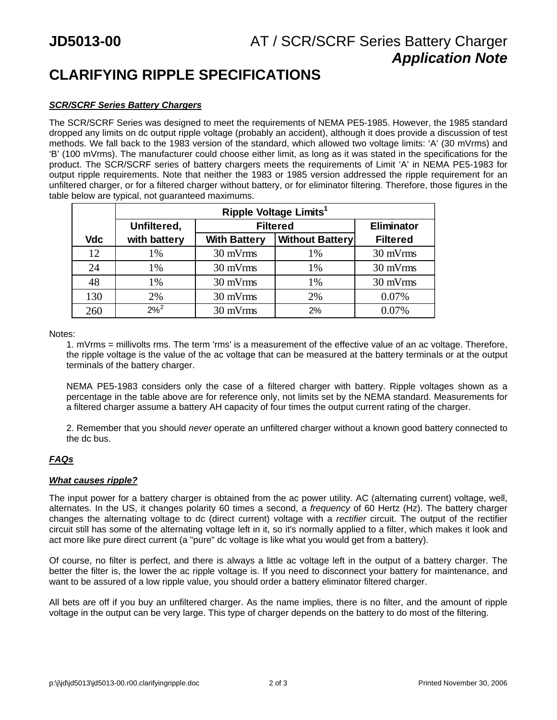## **CLARIFYING RIPPLE SPECIFICATIONS**

### *SCR/SCRF Series Battery Chargers*

The SCR/SCRF Series was designed to meet the requirements of NEMA PE5-1985. However, the 1985 standard dropped any limits on dc output ripple voltage (probably an accident), although it does provide a discussion of test methods. We fall back to the 1983 version of the standard, which allowed two voltage limits: 'A' (30 mVrms) and 'B' (100 mVrms). The manufacturer could choose either limit, as long as it was stated in the specifications for the product. The SCR/SCRF series of battery chargers meets the requirements of Limit 'A' in NEMA PE5-1983 for output ripple requirements. Note that neither the 1983 or 1985 version addressed the ripple requirement for an unfiltered charger, or for a filtered charger without battery, or for eliminator filtering. Therefore, those figures in the table below are typical, not guaranteed maximums.

|            | Ripple Voltage Limits <sup>1</sup> |                     |                        |                   |  |  |
|------------|------------------------------------|---------------------|------------------------|-------------------|--|--|
|            | Unfiltered,                        | <b>Filtered</b>     |                        | <b>Eliminator</b> |  |  |
| <b>Vdc</b> | with battery                       | <b>With Battery</b> | <b>Without Battery</b> | <b>Filtered</b>   |  |  |
| 12         | 1%                                 | 30 mVrms            | 1%                     | 30 mVrms          |  |  |
| 24         | 1%                                 | 30 mVrms            | 1%                     | 30 mVrms          |  |  |
| 48         | 1%                                 | 30 mVrms            | 1%                     | 30 mVrms          |  |  |
| 130        | 2%                                 | 30 mVrms            | 2%                     | 0.07%             |  |  |
| 260        | $2\%^{2}$                          | 30 mVrms            | 2%                     | 0.07%             |  |  |

Notes:

1. mVrms = millivolts rms. The term 'rms' is a measurement of the effective value of an ac voltage. Therefore, the ripple voltage is the value of the ac voltage that can be measured at the battery terminals or at the output terminals of the battery charger.

NEMA PE5-1983 considers only the case of a filtered charger with battery. Ripple voltages shown as a percentage in the table above are for reference only, not limits set by the NEMA standard. Measurements for a filtered charger assume a battery AH capacity of four times the output current rating of the charger.

2. Remember that you should *never* operate an unfiltered charger without a known good battery connected to the dc bus.

## *FAQs*

### *What causes ripple?*

The input power for a battery charger is obtained from the ac power utility. AC (alternating current) voltage, well, alternates. In the US, it changes polarity 60 times a second, a *frequency* of 60 Hertz (Hz). The battery charger changes the alternating voltage to dc (direct current) voltage with a *rectifier* circuit. The output of the rectifier circuit still has some of the alternating voltage left in it, so it's normally applied to a filter, which makes it look and act more like pure direct current (a "pure" dc voltage is like what you would get from a battery).

Of course, no filter is perfect, and there is always a little ac voltage left in the output of a battery charger. The better the filter is, the lower the ac ripple voltage is. If you need to disconnect your battery for maintenance, and want to be assured of a low ripple value, you should order a battery eliminator filtered charger.

All bets are off if you buy an unfiltered charger. As the name implies, there is no filter, and the amount of ripple voltage in the output can be very large. This type of charger depends on the battery to do most of the filtering.